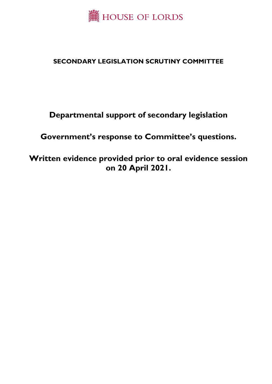

## **SECONDARY LEGISLATION SCRUTINY COMMITTEE**

# **Departmental support of secondary legislation**

## **Government's response to Committee's questions.**

## **Written evidence provided prior to oral evidence session on 20 April 2021.**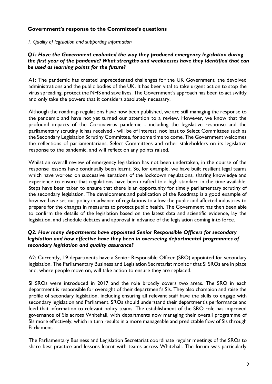## **Government's response to the Committee's questions**

*1. Quality of legislation and supporting information* 

## *Q1: Have the Government evaluated the way they produced emergency legislation during the first year of the pandemic? What strengths and weaknesses have they identified that can be used as learning points for the future?*

A1: The pandemic has created unprecedented challenges for the UK Government, the devolved administrations and the public bodies of the UK. It has been vital to take urgent action to stop the virus spreading, protect the NHS and save lives. The Government's approach has been to act swiftly and only take the powers that it considers absolutely necessary.

Although the roadmap regulations have now been published, we are still managing the response to the pandemic and have not yet turned our attention to a review. However, we know that the profound impacts of the Coronavirus pandemic - including the legislative response and the parliamentary scrutiny it has received - will be of interest, not least to Select Committees such as the Secondary Legislation Scrutiny Committee, for some time to come. The Government welcomes the reflections of parliamentarians, Select Committees and other stakeholders on its legislative response to the pandemic, and will reflect on any points raised.

Whilst an overall review of emergency legislation has not been undertaken, in the course of the response lessons have continually been learnt. So, for example, we have built resilient legal teams which have worked on successive iterations of the lockdown regulations, sharing knowledge and experience to ensure that regulations have been drafted to a high standard in the time available. Steps have been taken to ensure that there is an opportunity for timely parliamentary scrutiny of the secondary legislation. The development and publication of the Roadmap is a good example of how we have set out policy in advance of regulations to allow the public and affected industries to prepare for the changes in measures to protect public health. The Government has then been able to confirm the details of the legislation based on the latest data and scientific evidence, lay the legislation, and schedule debates and approval in advance of the legislation coming into force.

## *Q2: How many departments have appointed Senior Responsible Officers for secondary legislation and how effective have they been in overseeing departmental programmes of secondary legislation and quality assurance?*

A2: Currently, 19 departments have a Senior Responsible Officer (SRO) appointed for secondary legislation. The Parliamentary Business and Legislation Secretariat monitor that SI SROs are in place and, where people move on, will take action to ensure they are replaced.

SI SROs were introduced in 2017 and the role broadly covers two areas. The SRO in each department is responsible for oversight of their department's SIs. They also champion and raise the profile of secondary legislation, including ensuring all relevant staff have the skills to engage with secondary legislation and Parliament. SROs should understand their department's performance and feed that information to relevant policy teams. The establishment of the SRO role has improved governance of SIs across Whitehall, with departments now managing their overall programme of SIs more effectively, which in turn results in a more manageable and predictable flow of SIs through Parliament.

The Parliamentary Business and Legislation Secretariat coordinate regular meetings of the SROs to share best practice and lessons learnt with teams across Whitehall. The forum was particularly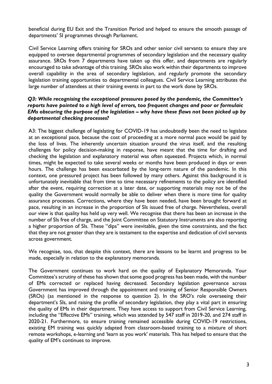beneficial during EU Exit and the Transition Period and helped to ensure the smooth passage of departments' SI programmes through Parliament.

Civil Service Learning offers training for SROs and other senior civil servants to ensure they are equipped to oversee departmental programmes of secondary legislation and the necessary quality assurance. SROs from 7 departments have taken up this offer, and departments are regularly encouraged to take advantage of this training. SROs also work within their departments to improve overall capability in the area of secondary legislation, and regularly promote the secondary legislation training opportunities to departmental colleagues. Civil Service Learning attributes the large number of attendees at their training events in part to the work done by SROs.

## *Q3: While recognising the exceptional pressures posed by the pandemic, the Committee's reports have pointed to a high level of errors, too frequent changes and poor or formulaic EMs obscuring the purpose of the legislation – why have these flaws not been picked up by departmental checking processes?*

A3: The biggest challenge of legislating for COVID-19 has undoubtedly been the need to legislate at an exceptional pace, because the cost of proceeding at a more normal pace would be paid by the loss of lives. The inherently uncertain situation around the virus itself, and the resulting challenges for policy decision-making in response, have meant that the time for drafting and checking the legislation and explanatory material was often squeezed. Projects which, in normal times, might be expected to take several weeks or months have been produced in days or even hours. The challenge has been exacerbated by the long-term nature of the pandemic. In this context, one pressured project has been followed by many others. Against this background it is unfortunately inevitable that from time to time necessary refinements to the policy are identified after the event, requiring correction at a later date, or supporting materials may not be of the quality the Government would normally be able to deliver when there is more time for quality assurance processes. Corrections, where they have been needed, have been brought forward at pace, resulting in an increase in the proportion of SIs issued free of charge. Nevertheless, overall our view is that quality has held up very well. We recognise that there has been an increase in the number of SIs free of charge, and the Joint Committee on Statutory Instruments are also reporting a higher proportion of SIs. These "dips" were inevitable, given the time constraints, and the fact that they are not greater than they are is testament to the expertise and dedication of civil servants across government.

We recognise, too, that despite this context, there are lessons to be learnt and progress to be made, especially in relation to the explanatory memoranda.

The Government continues to work hard on the quality of Explanatory Memoranda. Your Committee's scrutiny of these has shown that some good progress has been made, with the number of EMs corrected or replaced having decreased. Secondary legislation governance across Government has improved through the appointment and training of Senior Responsible Owners (SROs) (as mentioned in the response to question 2). In the SRO's role overseeing their department's SIs, and raising the profile of secondary legislation, they play a vital part in ensuring the quality of EMs in their department. They have access to support from Civil Service Learning, including the "Effective EMs" training, which was attended by 547 staff in 2019-20, and 274 staff in 2020-21. Furthermore, to ensure training remained accessible during COVID-19 restrictions, existing EM training was quickly adapted from classroom-based training to a mixture of short remote workshops, e-learning and 'learn as you work' materials. This has helped to ensure that the quality of EM's continues to improve.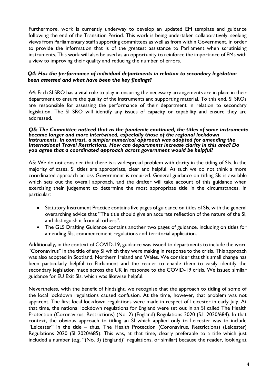Furthermore, work is currently underway to develop an updated EM template and guidance following the end of the Transition Period. This work is being undertaken collaboratively, seeking views from Parliamentary staff supporting committees as well as from within Government, in order to provide the information that is of the greatest assistance to Parliament when scrutinising instruments. This work will also be used as an opportunity to reinforce the importance of EMs with a view to improving their quality and reducing the number of errors.

## *Q4: Has the performance of individual departments in relation to secondary legislation been assessed and what have been the key findings?*

A4: Each SI SRO has a vital role to play in ensuring the necessary arrangements are in place in their department to ensure the quality of the instruments and supporting material. To this end, SI SROs are responsible for assessing the performance of their department in relation to secondary legislation. The SI SRO will identify any issues of capacity or capability and ensure they are addressed.

#### *Q5: The Committee noticed that as the pandemic continued, the titles of some instruments became longer and more intertwined, especially those of the regional lockdown instruments. In contrast, a simpler numerical approach was adopted for amending the International Travel Restrictions. How can departments increase clarity in this area? Do you agree that a coordinated approach across government would be helpful?*

A5: We do not consider that there is a widespread problem with clarity in the titling of SIs. In the majority of cases, SI titles are appropriate, clear and helpful. As such we do not think a more coordinated approach across Government is required. General guidance on titling SIs is available which sets out the overall approach, and the drafter will take account of this guidance when exercising their judgement to determine the most appropriate title in the circumstances. In particular:

- Statutory Instrument Practice contains five pages of guidance on titles of SIs, with the general overarching advice that "The title should give an accurate reflection of the nature of the SI, and distinguish it from all others".
- The GLS Drafting Guidance contains another two pages of guidance, including on titles for amending SIs, commencement regulations and territorial application.

Additionally, in the context of COVID-19, guidance was issued to departments to include the word "Coronavirus" in the title of any SI which they were making in response to the crisis. This approach was also adopted in Scotland, Northern Ireland and Wales. We consider that this small change has been particularly helpful to Parliament and the reader to enable them to easily identify the secondary legislation made across the UK in response to the COVID-19 crisis. We issued similar guidance for EU Exit SIs, which was likewise helpful.

Nevertheless, with the benefit of hindsight, we recognise that the approach to titling of some of the local lockdown regulations caused confusion. At the time, however, that problem was not apparent. The first local lockdown regulations were made in respect of Leicester in early July. At that time, the national lockdown regulations for England were set out in an SI called The Health Protection (Coronavirus, Restrictions) (No. 2) (England) Regulations 2020 (S.I. 2020/684). In that context, the obvious approach to titling an SI which applied only to Leicester was to include "Leicester" in the title – thus, The Health Protection (Coronavirus, Restrictions) (Leicester) Regulations 2020 (SI 2020/685). This was, at that time, clearly preferable to a title which just included a number (e.g. "(No. 3) (England)" regulations, or similar) because the reader, looking at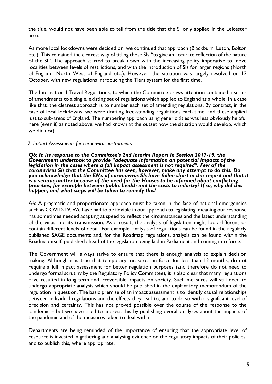the title, would not have been able to tell from the title that the SI only applied in the Leicester area.

As more local lockdowns were decided on, we continued that approach (Blackburn, Luton, Bolton etc.). This remained the clearest way of titling those SIs "to give an accurate reflection of the nature of the SI". The approach started to break down with the increasing policy imperative to move localities between levels of restrictions, and with the introduction of SIs for larger regions (North of England, North West of England etc.). However, the situation was largely resolved on 12 October, with new regulations introducing the Tiers system for the first time.

The International Travel Regulations, to which the Committee draws attention contained a series of amendments to a single, existing set of regulations which applied to England as a whole. In a case like that, the clearest approach is to number each set of amending regulations. By contrast, in the case of local lockdowns, we were drafting free-standing regulations each time, and these applied just to sub-areas of England. The numbering approach using generic titles was less obviously helpful here (even if, as noted above, we had known at the outset how the situation would develop, which we did not).

## *2. Impact Assessments for coronavirus instruments*

*Q6: In its response to the Committee's 2nd Interim Report in Session 2017-19, the Government undertook to provide "adequate information on potential impacts of the legislation in the cases where a full impact assessment is not required". Few of the coronavirus SIs that the Committee has seen, however, make any attempt to do this. Do you acknowledge that the EMs of coronavirus SIs have fallen short in this regard and that it is a serious matter because of the need for the Houses to be informed about conflicting priorities, for example between public health and the costs to industry? If so, why did this happen, and what steps will be taken to remedy this?*

A6: A pragmatic and proportionate approach must be taken in the face of national emergencies such as COVID-19. We have had to be flexible in our approach to legislating, meaning our response has sometimes needed adapting at speed to reflect the circumstances and the latest understanding of the virus and its transmission. As a result, the analysis of legislation might look different or contain different levels of detail. For example, analysis of regulations can be found in the regularly published SAGE documents and, for the Roadmap regulations, analysis can be found within the Roadmap itself, published ahead of the legislation being laid in Parliament and coming into force.

The Government will always strive to ensure that there is enough analysis to explain decision making. Although it is true that temporary measures, in force for less than 12 months, do not require a full impact assessment for better regulation purposes (and therefore do not need to undergo formal scrutiny by the Regulatory Policy Committee), it is also clear that many regulations have resulted in long term and irreversible impacts on society. Such measures will still need to undergo appropriate analysis which should be published in the explanatory memorandum of the regulation in question. The basic premise of an impact assessment is to identify causal relationships between individual regulations and the effects they lead to, and to do so with a significant level of precision and certainty. This has not proved possible over the course of the response to the pandemic – but we have tried to address this by publishing overall analyses about the impacts of the pandemic and of the measures taken to deal with it.

Departments are being reminded of the importance of ensuring that the appropriate level of resource is invested in gathering and analysing evidence on the regulatory impacts of their policies, and to publish this, where appropriate.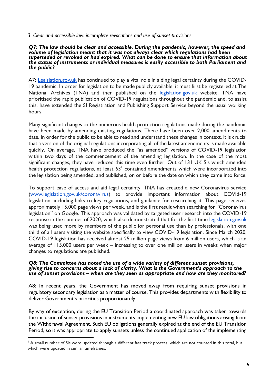## *3. Clear and accessible law: incomplete revocations and use of sunset provisions*

#### *Q7: The law should be clear and accessible. During the pandemic, however, the speed and volume of legislation meant that it was not always clear which regulations had been superseded or revoked or had expired. What can be done to ensure that information about the status of instruments or individual measures is easily accessible to both Parliament and the public?*

A7: [Legislation.gov.uk](http://legislation.gov.uk/) has continued to play a vital role in aiding legal certainty during the COVID-19 pandemic. In order for legislation to be made publicly available, it must first be registered at The National Archives (TNA) and then published on the [legislation.gov.uk](http://legislation.gov.uk/) website. TNA have prioritised the rapid publication of COVID-19 regulations throughout the pandemic and, to assist this, have extended the SI Registration and Publishing Support Service beyond the usual working hours.

Many significant changes to the numerous health protection regulations made during the pandemic have been made by amending existing regulations. There have been over 2,000 amendments to date. In order for the public to be able to read and understand these changes in context, it is crucial that a version of the original regulations incorporating all of the latest amendments is made available quickly. On average, TNA have produced the "as amended" versions of COVID-19 legislation within two days of the commencement of the amending legislation. In the case of the most significant changes, they have reduced this time even further. Out of 131 UK SIs which amended health protection regulations, at least  $63<sup>1</sup>$  contained amendments which were incorporated into the legislation being amended, and published, on or before the date on which they came into force.

To support ease of access and aid legal certainty, TNA has created a new Coronavirus service [\(www.legislation.gov.uk/coronavirus\)](http://www.legislation.gov.uk/coronavirus) to provide important information about COVId-19 legislation, including links to key regulations, and guidance for researching it. This page receives approximately 15,000 page views per week, and is the first result when searching for "Coronavirus legislation" on Google. This approach was validated by targeted user research into the COVID-19 response in the summer of 2020, which also demonstrated that for the first time [legislation.gov.uk](http://legislation.gov.uk/) was being used more by members of the public for personal use than by professionals, with one third of all users visiting the website specifically to view COVID-19 legislation. Since March 2020, COVID-19 legislation has received almost 25 million page views from 6 million users, which is an average of 115,000 users per week – increasing to over one million users in weeks when major changes to regulations are published.

#### *Q8: The Committee has noted the use of a wide variety of different sunset provisions, giving rise to concerns about a lack of clarity. What is the Government's approach to the use of sunset provisions – when are they seen as appropriate and how are they monitored?*

A8: In recent years, the Government has moved away from requiring sunset provisions in regulatory secondary legislation as a matter of course. This provides departments with flexibility to deliver Government's priorities proportionately.

By way of exception, during the EU Transition Period a coordinated approach was taken towards the inclusion of sunset provisions in instruments implementing new EU law obligations arising from the Withdrawal Agreement. Such EU obligations generally expired at the end of the EU Transition Period, so it was appropriate to apply sunsets unless the continued application of the implementing

<sup>&</sup>lt;sup>1</sup> A small number of SIs were updated through a different fast track process, which are not counted in this total, but which were updated in similar timeframes.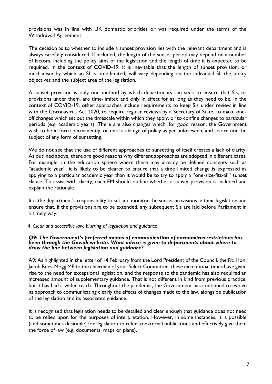provisions was in line with UK domestic priorities or was required under the terms of the Withdrawal Agreement.

The decision as to whether to include a sunset provision lies with the relevant department and is always carefully considered. If included, the length of the sunset period may depend on a number of factors, including the policy aims of the legislation and the length of time it is expected to be required. In the context of COVID-19, it is inevitable that the length of sunset provision, or mechanism by which an SI is time-limited, will vary depending on the individual SI, the policy objectives and the subject area of the legislation.

A sunset provision is only one method by which departments can seek to ensure that SIs, or provisions under them, are time-limited and only in effect for as long as they need to be. In the context of COVID-19, other approaches include requirements to keep SIs under review in line with the Coronavirus Act 2020, to require regular reviews by a Secretary of State, to make oneoff changes which set out the timescale within which they apply, or to confine changes to particular periods (e.g. academic years). There are also changes which, for good reason, the Government wish to be in force permanently, or until a change of policy as yet unforeseen, and so are not the subject of any form of sunsetting.

We do not see that the use of different approaches to sunsetting of itself creates a lack of clarity. As outlined above, there are good reasons why different approaches are adopted in different cases. For example, in the education sphere where there may already be defined concepts such as "academic year", it is likely to be clearer to ensure that a time limited change is expressed as applying to a particular academic year than it would be to try to apply a "one-size-fits-all" sunset clause. To assist with clarity, each EM should outline whether a sunset provision is included and explain the rationale.

It is the department's responsibility to set and monitor the sunset provisions in their legislation and ensure that, if the provisions are to be extended, any subsequent SIs are laid before Parliament in a timely way.

## *4. Clear and accessible law: blurring of legislation and guidance*

#### *Q9: The Government's preferred means of communication of coronavirus restrictions has been through the Gov.uk website. What advice is given to departments about where to draw the line between legislation and guidance?*

A9: As highlighted in the letter of 14 February from the Lord President of the Council, the Rt. Hon. Jacob Rees-Mogg MP to the chairman of your Select Committee, these exceptional times have given rise to the need for exceptional legislation, and the response to the pandemic has also required an increased amount of supplementary guidance. That is not different in kind from previous practice, but it has had a wider reach. Throughout the pandemic, the Government has continued to evolve its approach to communicating clearly the effects of changes made to the law, alongside publication of the legislation and its associated guidance.

It is recognised that legislation needs to be detailed and clear enough that guidance does not need to be relied upon for the purposes of interpretation. However, in some instances, it is possible (and sometimes desirable) for legislation to refer to external publications and effectively give them the force of law (e.g. documents, maps or plans).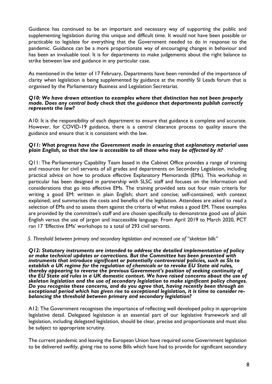Guidance has continued to be an important and necessary way of supporting the public and supplementing legislation during this unique and difficult time. It would not have been possible or practicable to legislate for everything that the Government needed to do in response to the pandemic. Guidance can be a more proportionate way of encouraging changes in behaviour and has been an invaluable tool. It is for departments to make judgements about the right balance to strike between law and guidance in any particular case.

As mentioned in the letter of 17 February, Departments have been reminded of the importance of clarity when legislation is being supplemented by guidance at the monthly SI Leads forum that is organised by the Parliamentary Business and Legislation Secretariat.

#### *Q10: We have drawn attention to examples where that distinction has not been properly made. Does any central body check that the guidance that departments publish correctly represents the law?*

A10: It is the responsibility of each department to ensure that guidance is complete and accurate. However, for COVID-19 guidance, there is a central clearance process to quality assure the guidance and ensure that it is consistent with the law.

## *Q11: What progress have the Government made in ensuring that explanatory material uses plain English, so that the law is accessible to all those who may be affected by it?*

Q11: The Parliamentary Capability Team based in the Cabinet Office provides a range of training and resources for civil servants of all grades and departments on Secondary Legislation, including practical advice on how to produce effective Explanatory Memoranda (EMs). This workshop in particular has been designed in partnership with SLSC staff and focuses on the information and considerations that go into effective EMs. The training provided sets out four main criteria for writing a good EM: written in plain English; short and concise; self-contained, with context explained; and summarises the costs and benefits of the legislation. Attendees are asked to read a selection of EMs and to assess them against the criteria of what makes a good EM. These examples are provided by the committee's staff and are chosen specifically to demonstrate good use of plain English versus the use of jargon and inaccessible language. From April 2019 to March 2020, PCT ran 17 'Effective EMs' workshops to a total of 293 civil servants.

## *5. Threshold between primary and secondary legislation and increased use of "skeleton bills"*

*Q12: Statutory instruments are intended to address the detailed implementation of policy or make technical updates or corrections. But the Committee has been presented with instruments that introduce significant or potentially controversial policies, such as SIs to establish a UK regime for the regulation of chemicals or to revoke EU State aid rules, thereby appearing to reverse the previous Government's position of seeking continuity of the EU State aid rules in a UK domestic context. We have raised concerns about the use of skeleton legislation and the use of secondary legislation to make significant policy changes. Do you recognise these concerns, and do you agree that, having recently been through an exceptional period which has given rise to exceptional legislation, it is time to consider rebalancing the threshold between primary and secondary legislation?*

A12: The Government recognises the importance of reflecting well developed policy in appropriate legislative detail. Delegated legislation is an essential part of our legislative framework and all legislation, including delegated legislation, should be clear, precise and proportionate and must also be subject to appropriate scrutiny.

The current pandemic and leaving the European Union have required some Government legislation to be delivered swiftly, giving rise to some Bills which have had to provide for significant secondary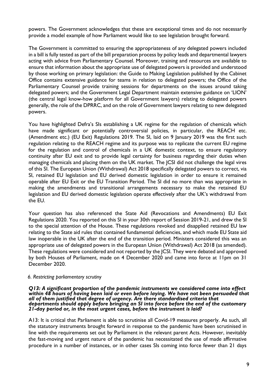powers. The Government acknowledges that these are exceptional times and do not necessarily provide a model example of how Parliament would like to see legislation brought forward.

The Government is committed to ensuring the appropriateness of any delegated powers included in a bill is fully tested as part of the bill preparation process by policy leads and departmental lawyers acting with advice from Parliamentary Counsel. Moreover, training and resources are available to ensure that information about the appropriate use of delegated powers is provided and understood by those working on primary legislation: the Guide to Making Legislation published by the Cabinet Office contains extensive guidance for teams in relation to delegated powers; the Office of the Parliamentary Counsel provide training sessions for departments on the issues around taking delegated powers; and the Government Legal Department maintain extensive guidance on 'LION' (the central legal know-how platform for all Government lawyers) relating to delegated powers generally, the role of the DPRRC, and on the role of Government lawyers relating to new delegated powers.

You have highlighted Defra's SIs establishing a UK regime for the regulation of chemicals which have made significant or potentially controversial policies, in particular, the REACH etc. (Amendment etc.) (EU Exit) Regulations 2019. The SI, laid on 9 January 2019 was the first such regulation relating to the REACH regime and its purpose was to replicate the current EU regime for the regulation and control of chemicals in a UK domestic context, to ensure regulatory continuity after EU exit and to provide legal certainty for business regarding their duties when managing chemicals and placing them on the UK market. The JCSI did not challenge the legal vires of this SI. The European Union (Withdrawal) Act 2018 specifically delegated powers to correct, via SI, retained EU legislation and EU derived domestic legislation in order to ensure it remained operable after EU Exit or the EU Transition Period. The SI did no more than was appropriate in making the amendments and transitional arrangements necessary to make the retained EU legislation and EU derived domestic legislation operate effectively after the UK's withdrawal from the EU.

Your question has also referenced the State Aid (Revocations and Amendments) EU Exit Regulations 2020. You reported on this SI in your 30th report of Session 2019-21, and drew the SI to the special attention of the House. These regulations revoked and disapplied retained EU law relating to the State aid rules that contained fundamental deficiencies, and which made EU State aid law inoperable in the UK after the end of the transition period. Ministers considered this was an appropriate use of delegated powers in the European Union (Withdrawal) Act 2018 (as amended). These regulations were considered and not reported by the JCSI. They were debated and approved by both Houses of Parliament, made on 4 December 2020 and came into force at 11pm on 31 December 2020.

## *6. Restricting parliamentary scrutiny*

#### *Q13: A significant proportion of the pandemic instruments we considered came into effect*  within 48 hours of having been laid or even before laying. We have not been persuaded that *all of them justified that degree of urgency. Are there standardised criteria that departments should apply before bringing an SI into force before the end of the customary 21-day period or, in the most urgent cases, before the instrument is laid?*

A13: It is critical that Parliament is able to scrutinise all Covid-19 measures properly. As such, all the statutory instruments brought forward in response to the pandemic have been scrutinised in line with the requirements set out by Parliament in the relevant parent Acts. However, inevitably the fast-moving and urgent nature of the pandemic has necessitated the use of made affirmative procedure in a number of instances, or in other cases SIs coming into force fewer than 21 days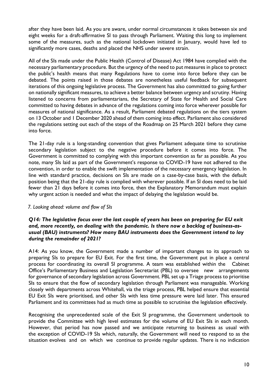after they have been laid. As you are aware, under normal circumstances it takes between six and eight weeks for a draft-affirmative SI to pass through Parliament. Waiting this long to implement some of the measures, such as the national lockdown initiated in January, would have led to significantly more cases, deaths and placed the NHS under severe strain.

All of the SIs made under the Public Health (Control of Disease) Act 1984 have complied with the necessary parliamentary procedure. But the urgency of the need to put measures in place to protect the public's health means that many Regulations have to come into force before they can be debated. The points raised in those debates are nonetheless useful feedback for subsequent iterations of this ongoing legislative process. The Government has also committed to going further on nationally significant measures, to achieve a better balance between urgency and scrutiny. Having listened to concerns from parliamentarians, the Secretary of State for Health and Social Care committed to having debates in advance of the regulations coming into force wherever possible for measures of national significance. As a result, Parliament debated regulations on the tiers system on 13 October and 1 December 2020 ahead of them coming into effect. Parliament also considered the regulations setting out each of the steps of the Roadmap on 25 March 2021 before they came into force.

The 21-day rule is a long-standing convention that gives Parliament adequate time to scrutinise secondary legislation subject to the negative procedure before it comes into force. The Government is committed to complying with this important convention as far as possible. As you note, many SIs laid as part of the Government's response to COVID-19 have not adhered to the convention, in order to enable the swift implementation of the necessary emergency legislation. In line with standard practice, decisions on SIs are made on a case-by-case basis, with the default position being that the 21-day rule is complied with wherever possible. If an SI does need to be laid fewer than 21 days before it comes into force, then the Explanatory Memorandum must explain why urgent action is needed and what the impact of delaying the legislation would be.

## *7. Looking ahead: volume and flow of SIs*

## *Q14: The legislative focus over the last couple of years has been on preparing for EU exit and, more recently, on dealing with the pandemic. Is there now a backlog of business-asusual (BAU) instruments? How many BAU instruments does the Government intend to lay during the remainder of 2021?*

A14: As you know, the Government made a number of important changes to its approach to preparing SIs to prepare for EU Exit. For the first time, the Government put in place a central process for coordinating its overall SI programme. A team was established within the Cabinet Office's Parliamentary Business and Legislation Secretariat (PBL) to oversee new arrangements for governance of secondary legislation across Government. PBL set up a Triage process to prioritise SIs to ensure that the flow of secondary legislation through Parliament was manageable. Working closely with departments across Whitehall, via the triage process, PBL helped ensure that essential EU Exit SIs were prioritised, and other SIs with less time pressure were laid later. This ensured Parliament and its committees had as much time as possible to scrutinise the legislation effectively.

Recognising the unprecedented scale of the Exit SI programme, the Government undertook to provide the Committee with high level estimates for the volume of EU Exit SIs in each month. However, that period has now passed and we anticipate returning to business as usual with the exception of COVID-19 SIs which, naturally, the Government will need to respond to as the situation evolves and on which we continue to provide regular updates. There is no indication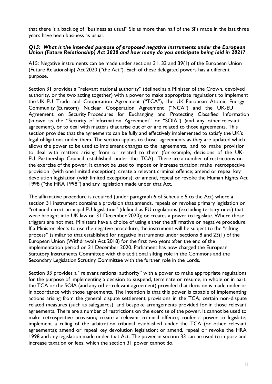that there is a backlog of "business as usual" SIs as more than half of the SI's made in the last three years have been business as usual.

## *Q15: What is the intended purpose of proposed negative instruments under the European Union (Future Relationship) Act 2020 and how many do you anticipate being laid in 2021?*

A15: Negative instruments can be made under sections 31, 33 and 39(1) of the European Union (Future Relationship) Act 2020 ("the Act"). Each of these delegated powers has a different purpose.

Section 31 provides a "relevant national authority" (defined as a Minister of the Crown, devolved authority, or the two acting together) with a power to make appropriate regulations to implement the UK-EU Trade and Cooperation Agreement ("TCA"), the UK-European Atomic Energy Community (Euratom) Nuclear Cooperation Agreement ("NCA") and the UK-EU Agreement on Security Procedures for Exchanging and Protecting Classified Information (known as the "Security of Information Agreement" or "SOIA") (and any other relevant agreement), or to deal with matters that arise out of or are related to those agreements. This section provides that the agreements can be fully and effectively implemented to satisfy the UK's legal obligations under them. The section applies to those agreements as they are updated which allows the power to be used to implement changes to the agreements, and to make provision to deal with matters arising from or related to them (for example, decisions of the UK-EU Partnership Council established under the TCA). There are a number of restrictions on the exercise of the power. It cannot be used to impose or increase taxation; make retrospective provision (with one limited exception); create a relevant criminal offence; amend or repeal key devolution legislation (with limited exceptions); or amend, repeal or revoke the Human Rights Act 1998 ("the HRA 1998") and any legislation made under that Act.

The affirmative procedure is required (under paragraph 6 of Schedule 5 to the Act) where a section 31 instrument contains a provision that amends, repeals or revokes primary legislation or "retained direct principal EU legislation" (defined as EU regulations (excluding tertiary ones) that were brought into UK law on 31 December 2020); or creates a power to legislate. Where those triggers are not met, Ministers have a choice of using either the affirmative or negative procedure. If a Minister elects to use the negative procedure, the instrument will be subject to the "sifting process" (similar to that established for negative instruments under sections 8 and 23(1) of the European Union (Withdrawal) Act 2018) for the first two years after the end of the implementation period on 31 December 2020. Parliament has now charged the European Statutory Instruments Committee with this additional sifting role in the Commons and the Secondary Legislation Scrutiny Committee with the further role in the Lords.

Section 33 provides a "relevant national authority" with a power to make appropriate regulations for the purpose of implementing a decision to suspend, terminate or resume, in whole or in part, the TCA or the SOIA (and any other relevant agreement) provided that decision is made under or in accordance with those agreements. The intention is that this power is capable of implementing actions arising from the general dispute settlement provisions in the TCA; certain non-dispute related measures (such as safeguards); and bespoke arrangements provided for in those relevant agreements. There are a number of restrictions on the exercise of the power. It cannot be used to make retrospective provision; create a relevant criminal offence; confer a power to legislate; implement a ruling of the arbitration tribunal established under the TCA (or other relevant agreements); amend or repeal key devolution legislation; or amend, repeal or revoke the HRA 1998 and any legislation made under that Act. The power in section 33 can be used to impose and increase taxation or fees, which the section 31 power cannot do.